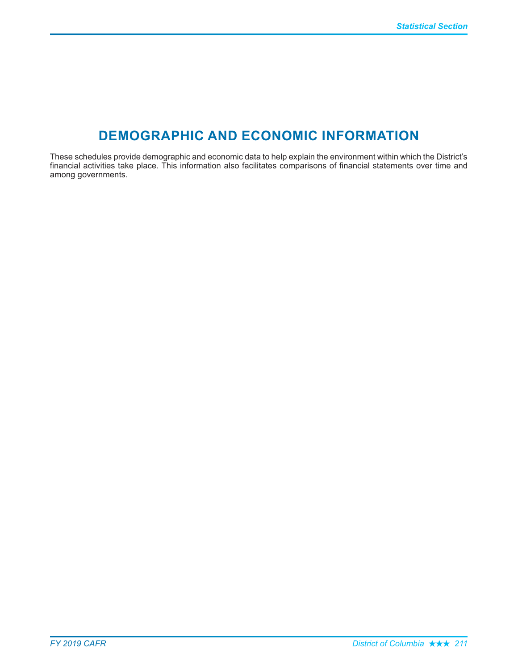## **DEMOGRAPHIC AND ECONOMIC INFORMATION**

These schedules provide demographic and economic data to help explain the environment within which the District's financial activities take place. This information also facilitates comparisons of financial statements over time and among governments.